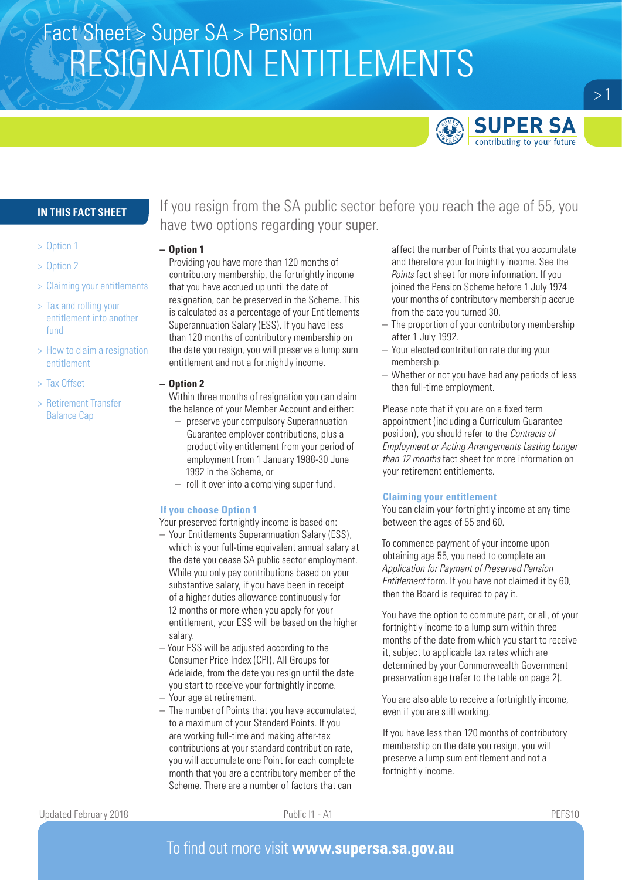# Fact Sheet > Super SA > Pension RESIGNATION ENTITLEMENTS



 $>1$ 

## **IN THIS FACT SHEET**

- > Option 1
- > Option 2
- > Claiming your entitlements
- > Tax and rolling your entitlement into another fund
- > How to claim a resignation entitlement
- > Tax Offset
- > Retirement Transfer Balance Cap

If you resign from the SA public sector before you reach the age of 55, you have two options regarding your super.

## **– Option 1**

Providing you have more than 120 months of contributory membership, the fortnightly income that you have accrued up until the date of resignation, can be preserved in the Scheme. This is calculated as a percentage of your Entitlements Superannuation Salary (ESS). If you have less than 120 months of contributory membership on the date you resign, you will preserve a lump sum entitlement and not a fortnightly income.

### **– Option 2**

- Within three months of resignation you can claim the balance of your Member Account and either:
- preserve your compulsory Superannuation Guarantee employer contributions, plus a productivity entitlement from your period of employment from 1 January 1988-30 June 1992 in the Scheme, or
- roll it over into a complying super fund.

## **If you choose Option 1**

Your preserved fortnightly income is based on:

- Your Entitlements Superannuation Salary (ESS), which is your full-time equivalent annual salary at the date you cease SA public sector employment. While you only pay contributions based on your substantive salary, if you have been in receipt of a higher duties allowance continuously for 12 months or more when you apply for your entitlement, your ESS will be based on the higher salary.
- Your ESS will be adjusted according to the Consumer Price Index (CPI), All Groups for Adelaide, from the date you resign until the date you start to receive your fortnightly income.
- Your age at retirement.
- The number of Points that you have accumulated, to a maximum of your Standard Points. If you are working full-time and making after-tax contributions at your standard contribution rate, you will accumulate one Point for each complete month that you are a contributory member of the Scheme. There are a number of factors that can

affect the number of Points that you accumulate and therefore your fortnightly income. See the *Points* fact sheet for more information. If you joined the Pension Scheme before 1 July 1974 your months of contributory membership accrue from the date you turned 30.

- The proportion of your contributory membership after 1 July 1992.
- Your elected contribution rate during your membership.
- Whether or not you have had any periods of less than full-time employment.

Please note that if you are on a fixed term appointment (including a Curriculum Guarantee position), you should refer to the *Contracts of Employment or Acting Arrangements Lasting Longer than 12 months* fact sheet for more information on your retirement entitlements.

### **Claiming your entitlement**

You can claim your fortnightly income at any time between the ages of 55 and 60.

To commence payment of your income upon obtaining age 55, you need to complete an *Application for Payment of Preserved Pension Entitlement* form. If you have not claimed it by 60, then the Board is required to pay it.

You have the option to commute part, or all, of your fortnightly income to a lump sum within three months of the date from which you start to receive it, subject to applicable tax rates which are determined by your Commonwealth Government preservation age (refer to the table on page 2).

You are also able to receive a fortnightly income, even if you are still working.

If you have less than 120 months of contributory membership on the date you resign, you will preserve a lump sum entitlement and not a fortnightly income.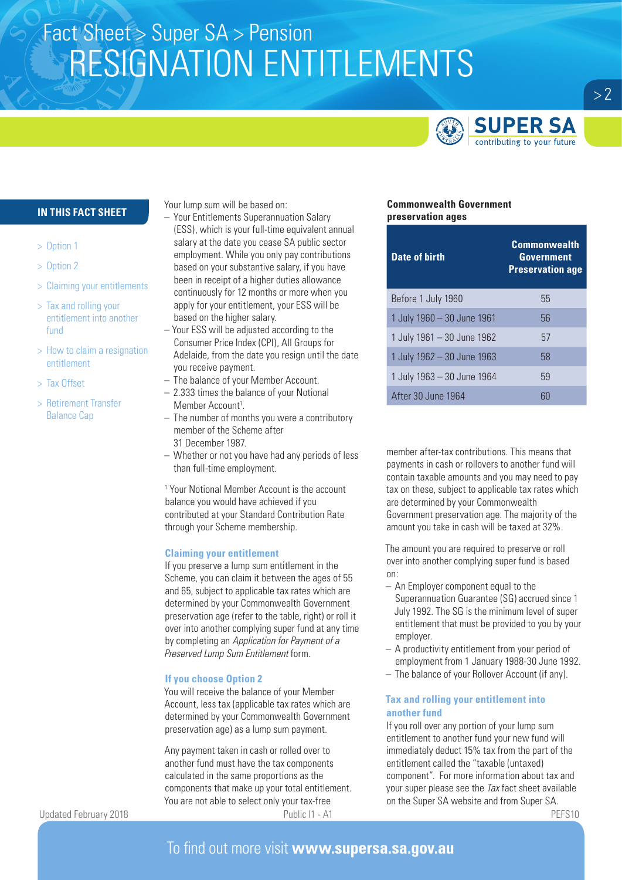# Fact Sheet > Super SA > Pension RESIGNATION ENTITLEMENTS



## **IN THIS FACT SHEET**

- > Option 1
- > Option 2
- > Claiming your entitlements
- > Tax and rolling your entitlement into another fund
- > How to claim a resignation entitlement
- > Tax Offset
- > Retirement Transfer Balance Cap

Your lump sum will be based on:

- Your Entitlements Superannuation Salary (ESS), which is your full-time equivalent annual salary at the date you cease SA public sector employment. While you only pay contributions based on your substantive salary, if you have been in receipt of a higher duties allowance continuously for 12 months or more when you apply for your entitlement, your ESS will be based on the higher salary.
- Your ESS will be adjusted according to the Consumer Price Index (CPI), All Groups for Adelaide, from the date you resign until the date you receive payment.
- The balance of your Member Account.
- 2.333 times the balance of your Notional Member Account<sup>1</sup>.
- The number of months you were a contributory member of the Scheme after 31 December 1987.
- Whether or not you have had any periods of less
- than full-time employment.

<sup>1</sup> Your Notional Member Account is the account balance you would have achieved if you contributed at your Standard Contribution Rate through your Scheme membership.

### **Claiming your entitlement**

If you preserve a lump sum entitlement in the Scheme, you can claim it between the ages of 55 and 65, subject to applicable tax rates which are determined by your Commonwealth Government preservation age (refer to the table, right) or roll it over into another complying super fund at any time by completing an *Application for Payment of a Preserved Lump Sum Entitlement* form.

### **If you choose Option 2**

You will receive the balance of your Member Account, less tax (applicable tax rates which are determined by your Commonwealth Government preservation age) as a lump sum payment.

Any payment taken in cash or rolled over to another fund must have the tax components calculated in the same proportions as the components that make up your total entitlement. You are not able to select only your tax-free Updated February 2018 **PUblic I1 - A1** PEFS10

## **Commonwealth Government preservation ages**

| <b>Date of birth</b>       | <b>Commonwealth</b><br>Government<br><b>Preservation age</b> |
|----------------------------|--------------------------------------------------------------|
| Before 1 July 1960         | 55                                                           |
| 1 July 1960 - 30 June 1961 | 56                                                           |
| 1 July 1961 - 30 June 1962 | 57                                                           |
| 1 July 1962 - 30 June 1963 | 58                                                           |
| 1 July 1963 - 30 June 1964 | 59                                                           |
| After 30 June 1964         |                                                              |

member after-tax contributions. This means that payments in cash or rollovers to another fund will contain taxable amounts and you may need to pay tax on these, subject to applicable tax rates which are determined by your Commonwealth Government preservation age. The majority of the amount you take in cash will be taxed at 32%.

The amount you are required to preserve or roll over into another complying super fund is based on:

- An Employer component equal to the Superannuation Guarantee (SG) accrued since 1 July 1992. The SG is the minimum level of super entitlement that must be provided to you by your employer.
- A productivity entitlement from your period of employment from 1 January 1988-30 June 1992.
- The balance of your Rollover Account (if any).

## **Tax and rolling your entitlement into another fund**

If you roll over any portion of your lump sum entitlement to another fund your new fund will immediately deduct 15% tax from the part of the entitlement called the "taxable (untaxed) component". For more information about tax and your super please see the *Tax* fact sheet available on the Super SA website and from Super SA.

## To find out more visit **www.supersa.sa.gov.au**